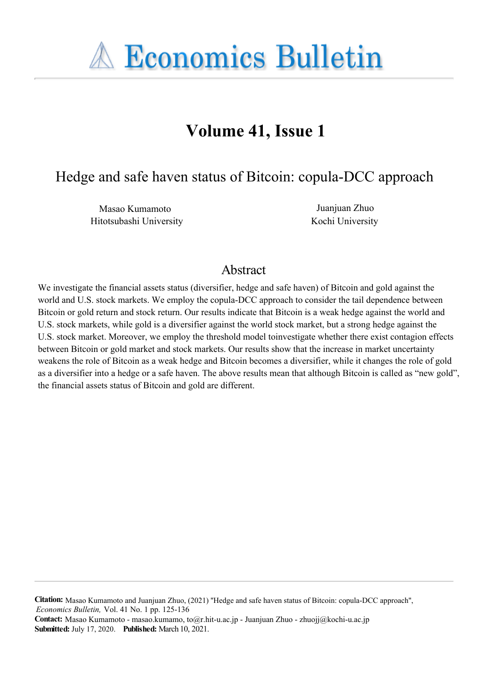

# **Volume 41, Issue 1**

Hedge and safe haven status of Bitcoin: copula-DCC approach

Masao Kumamoto Juanjuan Zhuo Hitotsubashi University Kochi University

# Abstract

We investigate the financial assets status (diversifier, hedge and safe haven) of Bitcoin and gold against the world and U.S. stock markets. We employ the copula-DCC approach to consider the tail dependence between Bitcoin or gold return and stock return. Our results indicate that Bitcoin is a weak hedge against the world and U.S. stock markets, while gold is a diversifier against the world stock market, but a strong hedge against the U.S. stock market. Moreover, we employ the threshold model toinvestigate whether there exist contagion effects between Bitcoin or gold market and stock markets. Our results show that the increase in market uncertainty weakens the role of Bitcoin as a weak hedge and Bitcoin becomes a diversifier, while it changes the role of gold as a diversifier into a hedge or a safe haven. The above results mean that although Bitcoin is called as "new gold", the financial assets status of Bitcoin and gold are different.

**Citation:** Masao Kumamoto and Juanjuan Zhuo, (2021) ''Hedge and safe haven status of Bitcoin: copula-DCC approach'', *Economics Bulletin,* Vol. 41 No. 1 pp. 125-136

**Contact:** Masao Kumamoto - masao.kumamo, to@r.hit-u.ac.jp - Juanjuan Zhuo - zhuojj@kochi-u.ac.jp**Submitted:** July 17, 2020. **Published:** March 10, 2021.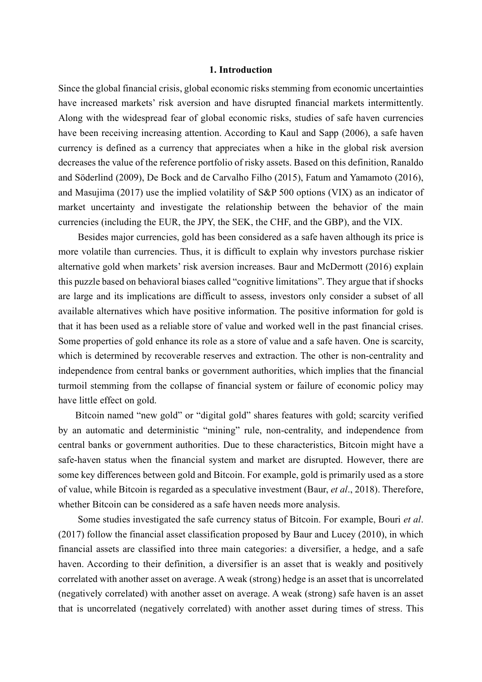#### 1. Introduction

Since the global financial crisis, global economic risks stemming from economic uncertainties have increased markets' risk aversion and have disrupted financial markets intermittently. Along with the widespread fear of global economic risks, studies of safe haven currencies have been receiving increasing attention. According to Kaul and Sapp (2006), a safe haven currency is defined as a currency that appreciates when a hike in the global risk aversion decreases the value of the reference portfolio of risky assets. Based on this definition, Ranaldo and Söderlind (2009), De Bock and de Carvalho Filho (2015), Fatum and Yamamoto (2016), and Masujima (2017) use the implied volatility of S&P 500 options (VIX) as an indicator of market uncertainty and investigate the relationship between the behavior of the main currencies (including the EUR, the JPY, the SEK, the CHF, and the GBP), and the VIX.

 Besides major currencies, gold has been considered as a safe haven although its price is more volatile than currencies. Thus, it is difficult to explain why investors purchase riskier alternative gold when markets' risk aversion increases. Baur and McDermott (2016) explain this puzzle based on behavioral biases called "cognitive limitations". They argue that if shocks are large and its implications are difficult to assess, investors only consider a subset of all available alternatives which have positive information. The positive information for gold is that it has been used as a reliable store of value and worked well in the past financial crises. Some properties of gold enhance its role as a store of value and a safe haven. One is scarcity, which is determined by recoverable reserves and extraction. The other is non-centrality and independence from central banks or government authorities, which implies that the financial turmoil stemming from the collapse of financial system or failure of economic policy may have little effect on gold.

 Bitcoin named "new gold" or "digital gold" shares features with gold; scarcity verified by an automatic and deterministic "mining" rule, non-centrality, and independence from central banks or government authorities. Due to these characteristics, Bitcoin might have a safe-haven status when the financial system and market are disrupted. However, there are some key differences between gold and Bitcoin. For example, gold is primarily used as a store of value, while Bitcoin is regarded as a speculative investment (Baur, et al., 2018). Therefore, whether Bitcoin can be considered as a safe haven needs more analysis.

Some studies investigated the safe currency status of Bitcoin. For example, Bouri et al. (2017) follow the financial asset classification proposed by Baur and Lucey (2010), in which financial assets are classified into three main categories: a diversifier, a hedge, and a safe haven. According to their definition, a diversifier is an asset that is weakly and positively correlated with another asset on average. A weak (strong) hedge is an asset that is uncorrelated (negatively correlated) with another asset on average. A weak (strong) safe haven is an asset that is uncorrelated (negatively correlated) with another asset during times of stress. This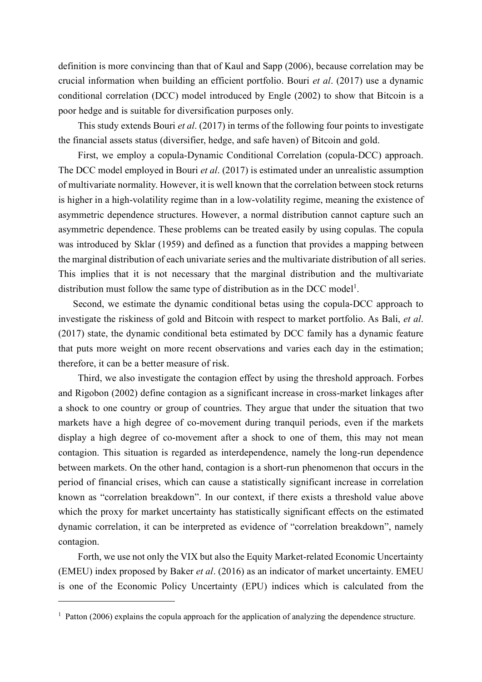definition is more convincing than that of Kaul and Sapp (2006), because correlation may be crucial information when building an efficient portfolio. Bouri et al. (2017) use a dynamic conditional correlation (DCC) model introduced by Engle (2002) to show that Bitcoin is a poor hedge and is suitable for diversification purposes only.

 This study extends Bouri et al. (2017) in terms of the following four points to investigate the financial assets status (diversifier, hedge, and safe haven) of Bitcoin and gold.

 First, we employ a copula-Dynamic Conditional Correlation (copula-DCC) approach. The DCC model employed in Bouri *et al.* (2017) is estimated under an unrealistic assumption of multivariate normality. However, it is well known that the correlation between stock returns is higher in a high-volatility regime than in a low-volatility regime, meaning the existence of asymmetric dependence structures. However, a normal distribution cannot capture such an asymmetric dependence. These problems can be treated easily by using copulas. The copula was introduced by Sklar (1959) and defined as a function that provides a mapping between the marginal distribution of each univariate series and the multivariate distribution of all series. This implies that it is not necessary that the marginal distribution and the multivariate distribution must follow the same type of distribution as in the DCC model<sup>1</sup>.

 Second, we estimate the dynamic conditional betas using the copula-DCC approach to investigate the riskiness of gold and Bitcoin with respect to market portfolio. As Bali, et al. (2017) state, the dynamic conditional beta estimated by DCC family has a dynamic feature that puts more weight on more recent observations and varies each day in the estimation; therefore, it can be a better measure of risk.

 Third, we also investigate the contagion effect by using the threshold approach. Forbes and Rigobon (2002) define contagion as a significant increase in cross-market linkages after a shock to one country or group of countries. They argue that under the situation that two markets have a high degree of co-movement during tranquil periods, even if the markets display a high degree of co-movement after a shock to one of them, this may not mean contagion. This situation is regarded as interdependence, namely the long-run dependence between markets. On the other hand, contagion is a short-run phenomenon that occurs in the period of financial crises, which can cause a statistically significant increase in correlation known as "correlation breakdown". In our context, if there exists a threshold value above which the proxy for market uncertainty has statistically significant effects on the estimated dynamic correlation, it can be interpreted as evidence of "correlation breakdown", namely contagion.

 Forth, we use not only the VIX but also the Equity Market-related Economic Uncertainty (EMEU) index proposed by Baker et al. (2016) as an indicator of market uncertainty. EMEU is one of the Economic Policy Uncertainty (EPU) indices which is calculated from the

<sup>&</sup>lt;sup>1</sup> Patton (2006) explains the copula approach for the application of analyzing the dependence structure.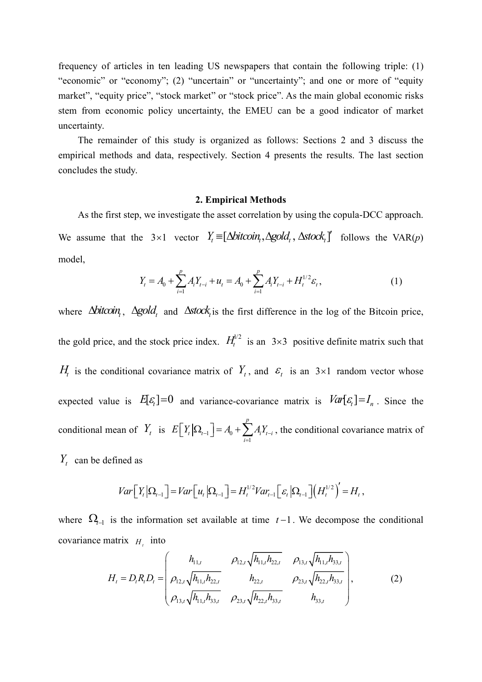frequency of articles in ten leading US newspapers that contain the following triple: (1) "economic" or "economy"; (2) "uncertain" or "uncertainty"; and one or more of "equity market", "equity price", "stock market" or "stock price". As the main global economic risks stem from economic policy uncertainty, the EMEU can be a good indicator of market uncertainty.

 The remainder of this study is organized as follows: Sections 2 and 3 discuss the empirical methods and data, respectively. Section 4 presents the results. The last section concludes the study.

#### 2. Empirical Methods

 As the first step, we investigate the asset correlation by using the copula-DCC approach. We assume that the  $3 \times 1$  vector  $Y_t = [\Delta bitcoin_t, \Delta gold_t, \Delta stock_t]$  follows the VAR(p) model,

$$
Y_{t} = A_{0} + \sum_{i=1}^{p} A_{i} Y_{t-i} + u_{t} = A_{0} + \sum_{i=1}^{p} A_{i} Y_{t-i} + H_{t}^{1/2} \varepsilon_{t},
$$
\n(1)

where  $\Delta b$ itcoin,  $\Delta g$ old, and  $\Delta s$ tock is the first difference in the log of the Bitcoin price, the gold price, and the stock price index.  $H_t^{1/2}$  is an  $3 \times 3$  positive definite matrix such that  $H_t$  is the conditional covariance matrix of  $Y_t$ , and  $\varepsilon_t$  is an 3×1 random vector whose expected value is  $E[\epsilon_t] = 0$  and variance-covariance matrix is  $Var[\epsilon_t] = I_n$ . Since the conditional mean of  $Y_t$  is  $E[Y_t | \Omega_{t-1}] = A_0$ 1 p  $t \mid^{\leq 2} t - 1 \mid^{-2} 1 \mid$ i  $E|Y_t|\Omega_{t-1}| = A_0 + \sum A_i Y_{t-1}$  $\left[ Y_t | \Omega_{t-1} \right] = A_0 + \sum_{i=1}^{t} A_i Y_{t-i}$ , the conditional covariance matrix of

 $Y_t$  can be defined as

$$
Var\Big[Y_t\Big|\Omega_{t-1}\Big]=Var\Big[u_t\Big|\Omega_{t-1}\Big]=H_t^{1/2}Var_{t-1}\Big[\varepsilon_t\Big|\Omega_{t-1}\Big]\Big(H_t^{1/2}\Big)'=H_t,
$$

where  $\Omega_{t-1}$  is the information set available at time  $t-1$ . We decompose the conditional covariance matrix  $H_t$  into

$$
H_{t} = D_{t}R_{t}D_{t} = \begin{pmatrix} h_{11,t} & \rho_{12,t}\sqrt{h_{11,t}h_{22,t}} & \rho_{13,t}\sqrt{h_{11,t}h_{33,t}} \\ \rho_{12,t}\sqrt{h_{11,t}h_{22,t}} & h_{22,t} & \rho_{23,t}\sqrt{h_{22,t}h_{33,t}} \\ \rho_{13,t}\sqrt{h_{11,t}h_{33,t}} & \rho_{23,t}\sqrt{h_{22,t}h_{33,t}} & h_{33,t} \end{pmatrix},
$$
(2)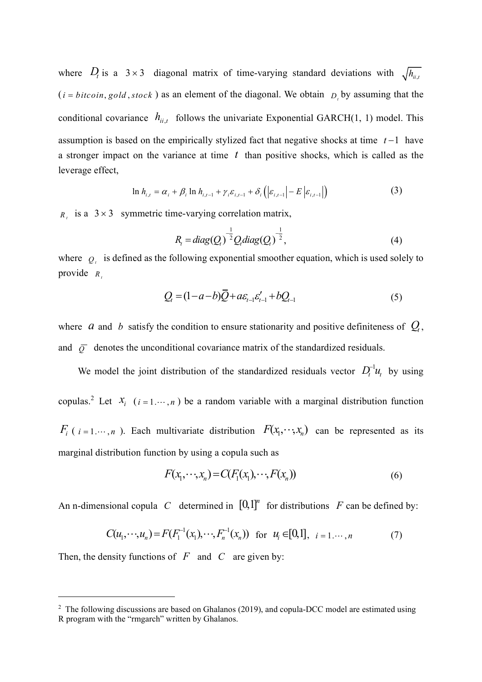where  $D_t$  is a  $3 \times 3$  diagonal matrix of time-varying standard deviations with  $\sqrt{h_{u,t}}$  $(i = bitcoin, gold, stock)$  as an element of the diagonal. We obtain  $D<sub>i</sub>$  by assuming that the conditional covariance  $h_{ii,t}$  follows the univariate Exponential GARCH(1, 1) model. This assumption is based on the empirically stylized fact that negative shocks at time  $t-1$  have a stronger impact on the variance at time  $t$  than positive shocks, which is called as the leverage effect,

$$
\ln h_{i,t} = \alpha_i + \beta_i \ln h_{i,t-1} + \gamma_i \varepsilon_{i,t-1} + \delta_i \left( \left| \varepsilon_{i,t-1} \right| - E \left| \varepsilon_{i,t-1} \right| \right) \tag{3}
$$

 $R_t$  is a 3 × 3 symmetric time-varying correlation matrix,

$$
R_{i} = diag(Q_{i})^{-\frac{1}{2}} Q_{i} diag(Q_{i})^{-\frac{1}{2}},
$$
\n(4)

where  $Q_t$  is defined as the following exponential smoother equation, which is used solely to provide  $R_t$ 

$$
Q_{t} = (1 - a - b)\overline{Q} + a\varepsilon_{t-1}\varepsilon'_{t-1} + bQ_{t-1}
$$
\n(5)

where  $\alpha$  and  $\beta$  satisfy the condition to ensure stationarity and positive definiteness of  $Q_t$ , and  $\overline{Q}$  denotes the unconditional covariance matrix of the standardized residuals.

We model the joint distribution of the standardized residuals vector  $D_t^{-1}u_t$  by using copulas.<sup>2</sup> Let  $X_i$  ( $i = 1, \dots, n$ ) be a random variable with a marginal distribution function  $F_i$  (  $i = 1, \dots, n$  ). Each multivariate distribution  $F(x_1, \dots, x_n)$  can be represented as its marginal distribution function by using a copula such as

$$
F(x_1, \cdots, x_n) = C(F_1(x_1), \cdots, F(x_n))
$$
\n<sup>(6)</sup>

An n-dimensional copula C determined in  $[0,1]^n$  for distributions F can be defined by:

$$
C(u_1, \dots, u_n) = F(F_1^{-1}(x_1), \dots, F_n^{-1}(x_n)) \text{ for } u_i \in [0, 1], i = 1, \dots, n
$$
 (7)

Then, the density functions of  $F$  and  $C$  are given by:

 $2$  The following discussions are based on Ghalanos (2019), and copula-DCC model are estimated using R program with the "rmgarch" written by Ghalanos.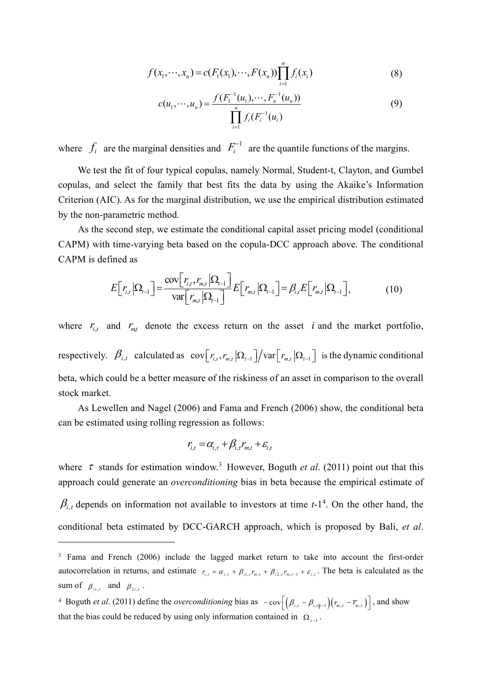$$
f(x_1, \dots, x_n) = c(F_1(x_1), \dots, F(x_n)) \prod_{i=1}^n f_i(x_i)
$$
 (8)

$$
c(u_1, \dots, u_n) = \frac{f(F_1^{-1}(u_1), \dots, F_n^{-1}(u_n))}{\prod_{i=1}^n f_i(F_i^{-1}(u_i))}
$$
(9)

where  $f_i$  are the marginal densities and  $F_i^{-1}$  are the quantile functions of the margins.

We test the fit of four typical copulas, namely Normal, Student-t, Clayton, and Gumbel copulas, and select the family that best fits the data by using the Akaike's Information Criterion (AIC). As for the marginal distribution, we use the empirical distribution estimated by the non-parametric method.

As the second step, we estimate the conditional capital asset pricing model (conditional CAPM) with time-varying beta based on the copula-DCC approach above. The conditional CAPM is defined as

$$
E\left[r_{i,t}|\Omega_{t-1}\right] = \frac{\text{cov}\left[r_{i,t},r_{m,t}|\Omega_{t-1}\right]}{\text{var}\left[r_{m,t}|\Omega_{t-1}\right]}E\left[r_{m,t}|\Omega_{t-1}\right] = \beta_{i,t}E\left[r_{m,t}|\Omega_{t-1}\right],\tag{10}
$$

where  $r_{i,t}$  and  $r_{m,t}$  denote the excess return on the asset i and the market portfolio, respectively.  $\beta_{i,t}$  calculated as  $\text{cov}[r_{i,t}, r_{m,t} | \Omega_{t-1}]/\text{var}[r_{m,t} | \Omega_{t-1}]$  is the dynamic conditional beta, which could be a better measure of the riskiness of an asset in comparison to the overall stock market.

As Lewellen and Nagel (2006) and Fama and French (2006) show, the conditional beta can be estimated using rolling regression as follows:

$$
r_{i,t} = \alpha_{i,\tau} + \beta_{i,\tau} r_{m,t} + \varepsilon_{i,t}
$$

where  $\tau$  stands for estimation window.<sup>3</sup> However, Boguth *et al.* (2011) point out that this approach could generate an overconditioning bias in beta because the empirical estimate of  $\beta_{i,\tau}$  depends on information not available to investors at time t-1<sup>4</sup>. On the other hand, the conditional beta estimated by DCC-GARCH approach, which is proposed by Bali, et al.

4 Boguth *et al.* (2011) define the *overconditioning* bias as  $-\text{cov}\left[\left(\beta_{i,\tau} - \beta_{i,\tau|t-1}\right)\left(r_{m,\tau} - \overline{r}_{m,\tau}\right)\right]$ , and show that the bias could be reduced by using only information contained in  $\Omega_{t-1}$ .

<sup>&</sup>lt;sup>3</sup> Fama and French (2006) include the lagged market return to take into account the first-order autocorrelation in returns, and estimate  $r_{i,t} = \alpha_{i,t} + \beta_{i1,t} r_{m,t} + \beta_{i2,t} r_{m,t-1} + \varepsilon_{i,t}$ . The beta is calculated as the sum of  $\beta_{i1,\tau}$  and  $\beta_{2i,\tau}$ .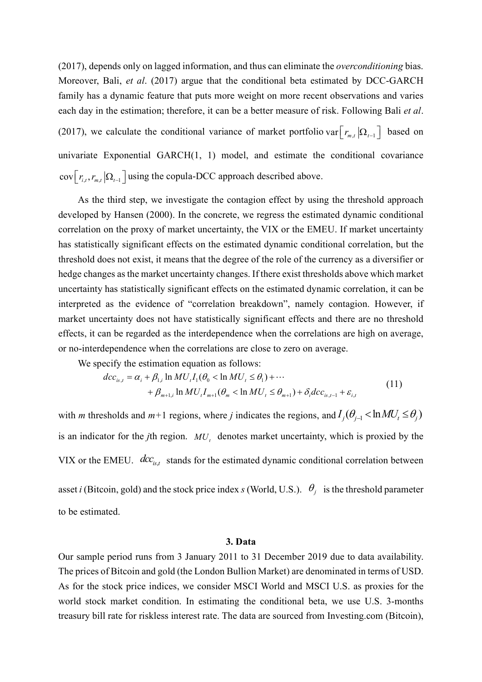(2017), depends only on lagged information, and thus can eliminate the overconditioning bias. Moreover, Bali, et al. (2017) argue that the conditional beta estimated by DCC-GARCH family has a dynamic feature that puts more weight on more recent observations and varies each day in the estimation; therefore, it can be a better measure of risk. Following Bali *et al.* (2017), we calculate the conditional variance of market portfolio var  $\lfloor r_{m,t} \rfloor \Omega_{t-1}$  based on univariate Exponential GARCH(1, 1) model, and estimate the conditional covariance  $\text{cov}\left[r_{i,t}, r_{m,t} | \Omega_{t-1}\right]$  using the copula-DCC approach described above.

As the third step, we investigate the contagion effect by using the threshold approach developed by Hansen (2000). In the concrete, we regress the estimated dynamic conditional correlation on the proxy of market uncertainty, the VIX or the EMEU. If market uncertainty has statistically significant effects on the estimated dynamic conditional correlation, but the threshold does not exist, it means that the degree of the role of the currency as a diversifier or hedge changes as the market uncertainty changes. If there exist thresholds above which market uncertainty has statistically significant effects on the estimated dynamic correlation, it can be interpreted as the evidence of "correlation breakdown", namely contagion. However, if market uncertainty does not have statistically significant effects and there are no threshold effects, it can be regarded as the interdependence when the correlations are high on average, or no-interdependence when the correlations are close to zero on average.

We specify the estimation equation as follows:

$$
dcc_{is,t} = \alpha_i + \beta_{1,i} \ln MU_t I_1(\theta_0 < \ln MU_t \le \theta_1) + \cdots + \beta_{m+1,i} \ln MU_t I_{m+1}(\theta_m < \ln MU_t \le \theta_{m+1}) + \delta_i dcc_{is,t-1} + \varepsilon_{i,t}
$$
\n(11)

with *m* thresholds and  $m+1$  regions, where *j* indicates the regions, and  $I_j(\theta_{j-1} < \ln M U_i \le \theta_j)$ is an indicator for the *j*th region.  $MU$ , denotes market uncertainty, which is proxied by the VIX or the EMEU.  $\text{d}cc_{i s,t}$  stands for the estimated dynamic conditional correlation between asset *i* (Bitcoin, gold) and the stock price index *s* (World, U.S.).  $\theta_j$  is the threshold parameter to be estimated.

#### 3. Data

Our sample period runs from 3 January 2011 to 31 December 2019 due to data availability. The prices of Bitcoin and gold (the London Bullion Market) are denominated in terms of USD. As for the stock price indices, we consider MSCI World and MSCI U.S. as proxies for the world stock market condition. In estimating the conditional beta, we use U.S. 3-months treasury bill rate for riskless interest rate. The data are sourced from Investing.com (Bitcoin),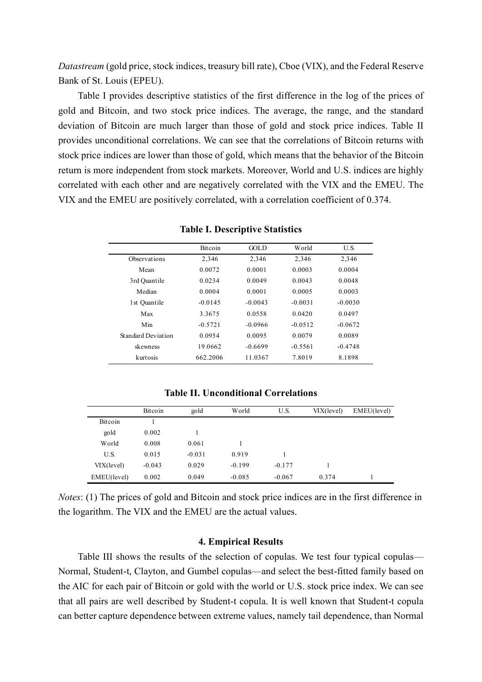Datastream (gold price, stock indices, treasury bill rate), Cboe (VIX), and the Federal Reserve Bank of St. Louis (EPEU).

 Table I provides descriptive statistics of the first difference in the log of the prices of gold and Bitcoin, and two stock price indices. The average, the range, and the standard deviation of Bitcoin are much larger than those of gold and stock price indices. Table II provides unconditional correlations. We can see that the correlations of Bitcoin returns with stock price indices are lower than those of gold, which means that the behavior of the Bitcoin return is more independent from stock markets. Moreover, World and U.S. indices are highly correlated with each other and are negatively correlated with the VIX and the EMEU. The VIX and the EMEU are positively correlated, with a correlation coefficient of 0.374.

|                    | <b>Bitcoin</b> | GOL D     | World     | U.S.      |
|--------------------|----------------|-----------|-----------|-----------|
| Observations       | 2,346          | 2,346     | 2,346     | 2,346     |
| Mean               | 0.0072         | 0.0001    | 0.0003    | 0.0004    |
| 3rd Quantile       | 0.0234         | 0.0049    | 0.0043    | 0.0048    |
| Median             | 0.0004         | 0.0001    | 0.0005    | 0.0003    |
| 1st Quantile       | $-0.0145$      | $-0.0043$ | $-0.0031$ | $-0.0030$ |
| Max                | 3.3675         | 0.0558    | 0.0420    | 0.0497    |
| Min                | $-0.5721$      | $-0.0966$ | $-0.0512$ | $-0.0672$ |
| Standard Deviation | 0.0954         | 0.0095    | 0.0079    | 0.0089    |
| skewness           | 19.0662        | $-0.6699$ | $-0.5561$ | $-0.4748$ |
| kurtosis           | 662.2006       | 11.0367   | 7.8019    | 8.1898    |

Table I. Descriptive Statistics

Table II. Unconditional Correlations

|             | Bitcoin  | gold     | World    | U.S.     | VIX(level) | EMEU(level) |
|-------------|----------|----------|----------|----------|------------|-------------|
| Bitcoin     |          |          |          |          |            |             |
| gold        | 0.002    |          |          |          |            |             |
| World       | 0.008    | 0.061    |          |          |            |             |
| U.S.        | 0.015    | $-0.031$ | 0.919    |          |            |             |
| VIX(level)  | $-0.043$ | 0.029    | $-0.199$ | $-0.177$ |            |             |
| EMEU(level) | 0.002    | 0.049    | $-0.085$ | $-0.067$ | 0.374      |             |

Notes: (1) The prices of gold and Bitcoin and stock price indices are in the first difference in the logarithm. The VIX and the EMEU are the actual values.

### 4. Empirical Results

 Table III shows the results of the selection of copulas. We test four typical copulas— Normal, Student-t, Clayton, and Gumbel copulas—and select the best-fitted family based on the AIC for each pair of Bitcoin or gold with the world or U.S. stock price index. We can see that all pairs are well described by Student-t copula. It is well known that Student-t copula can better capture dependence between extreme values, namely tail dependence, than Normal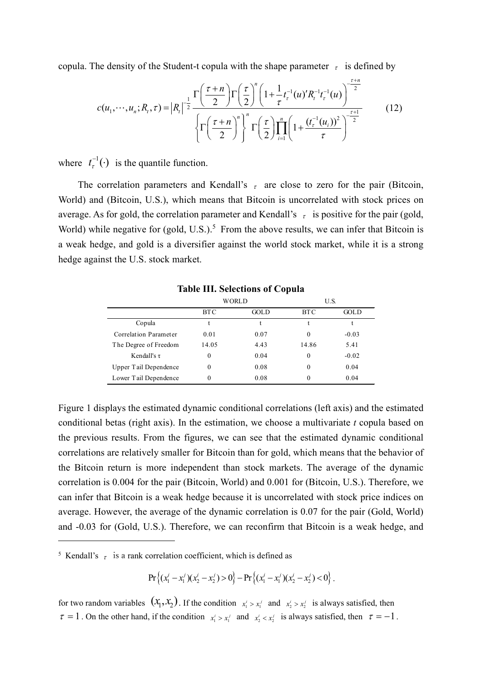copula. The density of the Student-t copula with the shape parameter  $\tau$  is defined by

$$
c(u_1, \dots, u_n; R, \tau) = |R_t|^{-\frac{1}{2}} \frac{\Gamma\left(\frac{\tau + n}{2}\right) \Gamma\left(\frac{\tau}{2}\right)^n \left(1 + \frac{1}{\tau} t_r^{-1}(u)' R_t^{-1} t_r^{-1}(u)\right)^{-\frac{\tau + n}{2}}}{\left\{\Gamma\left(\frac{\tau + n}{2}\right)^n\right\}^n \Gamma\left(\frac{\tau}{2}\right) \prod_{i=1}^n \left(1 + \frac{(t_r^{-1}(u_i))^2}{\tau}\right)^{-\frac{\tau + 1}{2}}}
$$
(12)

where  $t_{\tau}^{-1}(\cdot)$  is the quantile function.

The correlation parameters and Kendall's  $\tau$  are close to zero for the pair (Bitcoin, World) and (Bitcoin, U.S.), which means that Bitcoin is uncorrelated with stock prices on average. As for gold, the correlation parameter and Kendall's  $\tau$  is positive for the pair (gold, World) while negative for  $(gold, U.S.)$ <sup>5</sup> From the above results, we can infer that Bitcoin is a weak hedge, and gold is a diversifier against the world stock market, while it is a strong hedge against the U.S. stock market.

|                       | WORLD      |      | U.S.       |         |
|-----------------------|------------|------|------------|---------|
|                       | <b>BTC</b> | GOLD | <b>BTC</b> | GOLD    |
| Copula                |            |      |            |         |
| Correlation Parameter | 0.01       | 0.07 | $\theta$   | $-0.03$ |
| The Degree of Freedom | 14.05      | 4.43 | 14.86      | 5.41    |
| Kendall's $\tau$      | 0          | 0.04 | $\theta$   | $-0.02$ |
| Upper Tail Dependence | 0          | 0.08 | $\theta$   | 0.04    |
| Lower Tail Dependence | 0          | 0.08 | 0          | 0.04    |

Table III. Selections of Copula

Figure 1 displays the estimated dynamic conditional correlations (left axis) and the estimated conditional betas (right axis). In the estimation, we choose a multivariate  $t$  copula based on the previous results. From the figures, we can see that the estimated dynamic conditional correlations are relatively smaller for Bitcoin than for gold, which means that the behavior of the Bitcoin return is more independent than stock markets. The average of the dynamic correlation is 0.004 for the pair (Bitcoin, World) and 0.001 for (Bitcoin, U.S.). Therefore, we can infer that Bitcoin is a weak hedge because it is uncorrelated with stock price indices on average. However, the average of the dynamic correlation is 0.07 for the pair (Gold, World) and -0.03 for (Gold, U.S.). Therefore, we can reconfirm that Bitcoin is a weak hedge, and

 $\Pr \left\{ (x_1^i - x_1^j)(x_2^i - x_2^j) > 0 \right\} - \Pr \left\{ (x_1^i - x_1^j)(x_2^i - x_2^j) < 0 \right\}$ .

for two random variables  $(x_1, x_2)$ . If the condition  $x_1' > x_1'$  and  $x_2' > x_2'$  is always satisfied, then  $\tau = 1$ . On the other hand, if the condition  $x_1^i > x_1^j$  and  $x_2^i < x_2^j$  is always satisfied, then  $\tau = -1$ .

<sup>&</sup>lt;sup>5</sup> Kendall's  $\tau$  is a rank correlation coefficient, which is defined as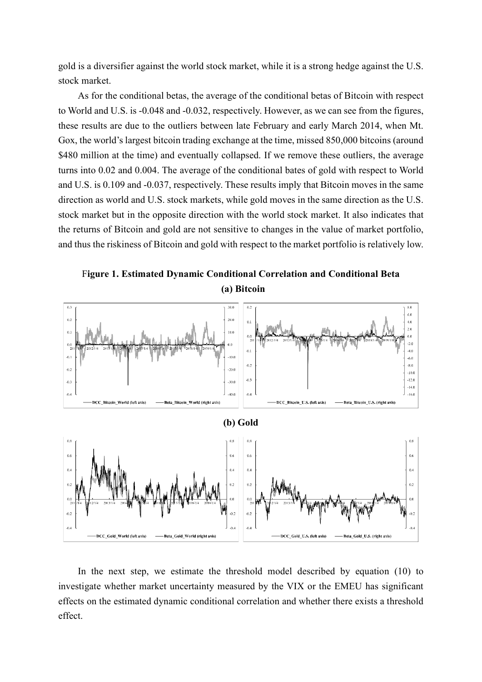gold is a diversifier against the world stock market, while it is a strong hedge against the U.S. stock market.

 As for the conditional betas, the average of the conditional betas of Bitcoin with respect to World and U.S. is -0.048 and -0.032, respectively. However, as we can see from the figures, these results are due to the outliers between late February and early March 2014, when Mt. Gox, the world's largest bitcoin trading exchange at the time, missed 850,000 bitcoins (around \$480 million at the time) and eventually collapsed. If we remove these outliers, the average turns into 0.02 and 0.004. The average of the conditional bates of gold with respect to World and U.S. is 0.109 and -0.037, respectively. These results imply that Bitcoin moves in the same direction as world and U.S. stock markets, while gold moves in the same direction as the U.S. stock market but in the opposite direction with the world stock market. It also indicates that the returns of Bitcoin and gold are not sensitive to changes in the value of market portfolio, and thus the riskiness of Bitcoin and gold with respect to the market portfolio is relatively low.

Figure 1. Estimated Dynamic Conditional Correlation and Conditional Beta (a) Bitcoin



 In the next step, we estimate the threshold model described by equation (10) to investigate whether market uncertainty measured by the VIX or the EMEU has significant effects on the estimated dynamic conditional correlation and whether there exists a threshold effect.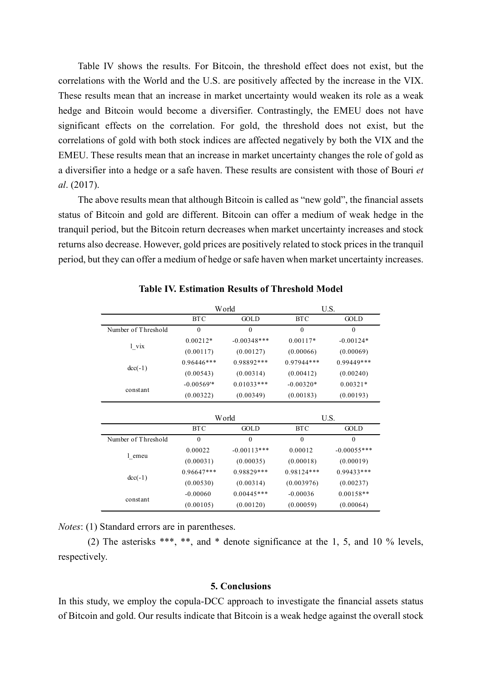Table IV shows the results. For Bitcoin, the threshold effect does not exist, but the correlations with the World and the U.S. are positively affected by the increase in the VIX. These results mean that an increase in market uncertainty would weaken its role as a weak hedge and Bitcoin would become a diversifier. Contrastingly, the EMEU does not have significant effects on the correlation. For gold, the threshold does not exist, but the correlations of gold with both stock indices are affected negatively by both the VIX and the EMEU. These results mean that an increase in market uncertainty changes the role of gold as a diversifier into a hedge or a safe haven. These results are consistent with those of Bouri et al. (2017).

 The above results mean that although Bitcoin is called as "new gold", the financial assets status of Bitcoin and gold are different. Bitcoin can offer a medium of weak hedge in the tranquil period, but the Bitcoin return decreases when market uncertainty increases and stock returns also decrease. However, gold prices are positively related to stock prices in the tranquil period, but they can offer a medium of hedge or safe haven when market uncertainty increases.

|                     | World                   |                  | U.S.         |               |  |
|---------------------|-------------------------|------------------|--------------|---------------|--|
|                     | <b>BTC</b>              | GOLD             | <b>BTC</b>   | GOLD          |  |
| Number of Threshold | $\mathbf{0}$            | $\boldsymbol{0}$ | $\mathbf{0}$ | $\mathbf{0}$  |  |
| l vix               | $0.00212*$              | $-0.00348***$    | $0.00117*$   | $-0.00124*$   |  |
|                     | (0.00117)               | (0.00127)        | (0.00066)    | (0.00069)     |  |
| $dec(-1)$           | $0.96446***$            | 0.98892***       | $0.97944***$ | 0.99449***    |  |
|                     | (0.00543)               | (0.00314)        | (0.00412)    | (0.00240)     |  |
| constant            | $-0.00569$ <sup>*</sup> | $0.01033***$     | $-0.00320*$  | $0.00321*$    |  |
|                     | (0.00322)               | (0.00349)        | (0.00183)    | (0.00193)     |  |
|                     |                         |                  |              |               |  |
|                     | World                   |                  | U.S.         |               |  |
|                     | <b>BTC</b>              | GOLD             | <b>BTC</b>   | <b>GOLD</b>   |  |
| Number of Threshold | $\mathbf{0}$            | $\mathbf{0}$     | $\mathbf{0}$ | $\mathbf{0}$  |  |
| l emeu              | 0.00022                 | $-0.00113***$    | 0.00012      | $-0.00055***$ |  |
|                     | (0.00031)               | (0.00035)        | (0.00018)    | (0.00019)     |  |
| $dec(-1)$           | 0.96647***              | 0.98829***       | 0.98124***   | 0.99433***    |  |
|                     | (0.00530)               | (0.00314)        | (0.003976)   | (0.00237)     |  |
| constant            | $-0.00060$              | $0.00445***$     | $-0.00036$   | $0.00158**$   |  |
|                     | (0.00105)               | (0.00120)        | (0.00059)    | (0.00064)     |  |

Table IV. Estimation Results of Threshold Model

Notes: (1) Standard errors are in parentheses.

 (2) The asterisks \*\*\*, \*\*, and \* denote significance at the 1, 5, and 10 % levels, respectively.

#### 5. Conclusions

In this study, we employ the copula-DCC approach to investigate the financial assets status of Bitcoin and gold. Our results indicate that Bitcoin is a weak hedge against the overall stock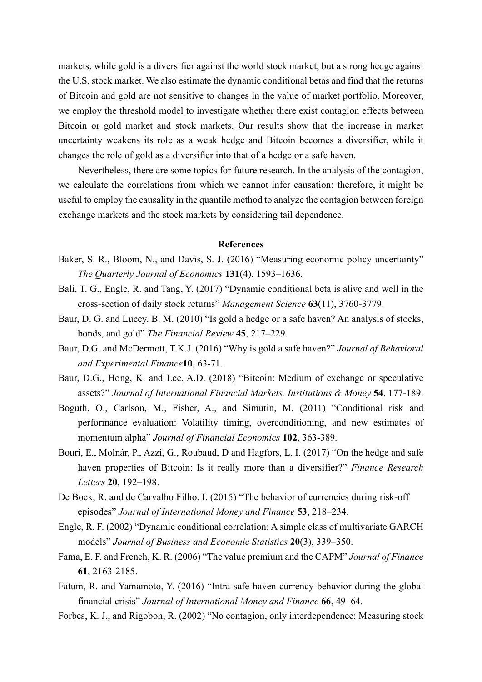markets, while gold is a diversifier against the world stock market, but a strong hedge against the U.S. stock market. We also estimate the dynamic conditional betas and find that the returns of Bitcoin and gold are not sensitive to changes in the value of market portfolio. Moreover, we employ the threshold model to investigate whether there exist contagion effects between Bitcoin or gold market and stock markets. Our results show that the increase in market uncertainty weakens its role as a weak hedge and Bitcoin becomes a diversifier, while it changes the role of gold as a diversifier into that of a hedge or a safe haven.

 Nevertheless, there are some topics for future research. In the analysis of the contagion, we calculate the correlations from which we cannot infer causation; therefore, it might be useful to employ the causality in the quantile method to analyze the contagion between foreign exchange markets and the stock markets by considering tail dependence.

## References

- Baker, S. R., Bloom, N., and Davis, S. J. (2016) "Measuring economic policy uncertainty" The Quarterly Journal of Economics 131(4), 1593–1636.
- Bali, T. G., Engle, R. and Tang, Y. (2017) "Dynamic conditional beta is alive and well in the cross-section of daily stock returns" Management Science 63(11), 3760-3779.
- Baur, D. G. and Lucey, B. M. (2010) "Is gold a hedge or a safe haven? An analysis of stocks, bonds, and gold" The Financial Review 45, 217–229.
- Baur, D.G. and McDermott, T.K.J. (2016) "Why is gold a safe haven?" Journal of Behavioral and Experimental Finance10, 63-71.
- Baur, D.G., Hong, K. and Lee, A.D. (2018) "Bitcoin: Medium of exchange or speculative assets?" Journal of International Financial Markets, Institutions & Money 54, 177-189.
- Boguth, O., Carlson, M., Fisher, A., and Simutin, M. (2011) "Conditional risk and performance evaluation: Volatility timing, overconditioning, and new estimates of momentum alpha" Journal of Financial Economics 102, 363-389.
- Bouri, E., Molnár, P., Azzi, G., Roubaud, D and Hagfors, L. I. (2017) "On the hedge and safe haven properties of Bitcoin: Is it really more than a diversifier?" Finance Research Letters 20, 192–198.
- De Bock, R. and de Carvalho Filho, I. (2015) "The behavior of currencies during risk-off episodes" Journal of International Money and Finance 53, 218–234.
- Engle, R. F. (2002) "Dynamic conditional correlation: A simple class of multivariate GARCH models" Journal of Business and Economic Statistics 20(3), 339–350.
- Fama, E. F. and French, K. R. (2006) "The value premium and the CAPM" Journal of Finance 61, 2163-2185.
- Fatum, R. and Yamamoto, Y. (2016) "Intra-safe haven currency behavior during the global financial crisis" Journal of International Money and Finance 66, 49–64.
- Forbes, K. J., and Rigobon, R. (2002) "No contagion, only interdependence: Measuring stock